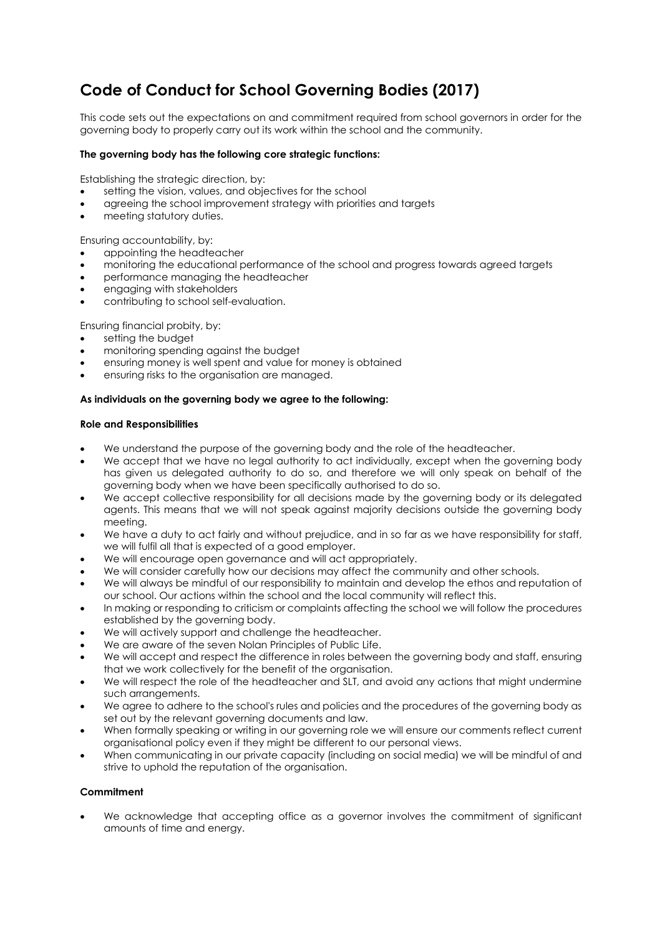# **Code of Conduct for School Governing Bodies (2017)**

This code sets out the expectations on and commitment required from school governors in order for the governing body to properly carry out its work within the school and the community.

## **The governing body has the following core strategic functions:**

Establishing the strategic direction, by:

- setting the vision, values, and objectives for the school
- agreeing the school improvement strategy with priorities and targets
- meeting statutory duties.

Ensuring accountability, by:

- appointing the headteacher
- monitoring the educational performance of the school and progress towards agreed targets
- performance managing the headteacher
- engaging with stakeholders
- contributing to school self-evaluation.

Ensuring financial probity, by:

- setting the budget
- monitoring spending against the budget
- ensuring money is well spent and value for money is obtained
- ensuring risks to the organisation are managed.

#### **As individuals on the governing body we agree to the following:**

#### **Role and Responsibilities**

- We understand the purpose of the governing body and the role of the headteacher.
- We accept that we have no legal authority to act individually, except when the governing body has given us delegated authority to do so, and therefore we will only speak on behalf of the governing body when we have been specifically authorised to do so.
- We accept collective responsibility for all decisions made by the governing body or its delegated agents. This means that we will not speak against majority decisions outside the governing body meeting.
- We have a duty to act fairly and without prejudice, and in so far as we have responsibility for staff, we will fulfil all that is expected of a good employer.
- We will encourage open governance and will act appropriately.
- We will consider carefully how our decisions may affect the community and other schools.
- We will always be mindful of our responsibility to maintain and develop the ethos and reputation of our school. Our actions within the school and the local community will reflect this.
- In making or responding to criticism or complaints affecting the school we will follow the procedures established by the governing body.
- We will actively support and challenge the headteacher.
- We are aware of the seven Nolan Principles of Public Life.
- We will accept and respect the difference in roles between the governing body and staff, ensuring that we work collectively for the benefit of the organisation.
- We will respect the role of the headteacher and SLT, and avoid any actions that might undermine such arrangements.
- We agree to adhere to the school's rules and policies and the procedures of the governing body as set out by the relevant governing documents and law.
- When formally speaking or writing in our governing role we will ensure our comments reflect current organisational policy even if they might be different to our personal views.
- When communicating in our private capacity (including on social media) we will be mindful of and strive to uphold the reputation of the organisation.

#### **Commitment**

• We acknowledge that accepting office as a governor involves the commitment of significant amounts of time and energy.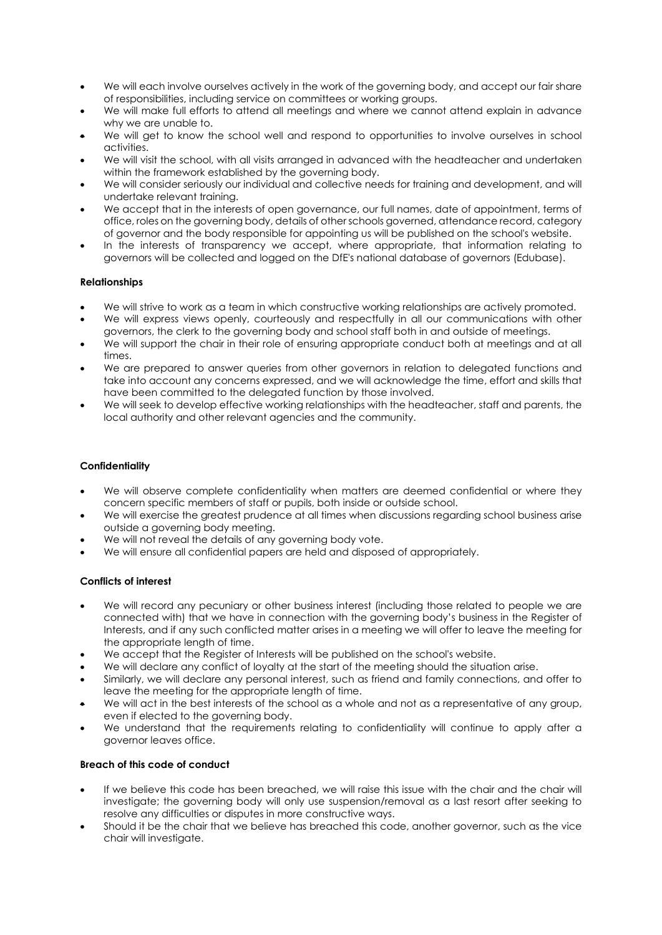- We will each involve ourselves actively in the work of the governing body, and accept our fair share of responsibilities, including service on committees or working groups.
- We will make full efforts to attend all meetings and where we cannot attend explain in advance why we are unable to.
- We will get to know the school well and respond to opportunities to involve ourselves in school activities.
- We will visit the school, with all visits arranged in advanced with the headteacher and undertaken within the framework established by the governing body.
- We will consider seriously our individual and collective needs for training and development, and will undertake relevant training.
- We accept that in the interests of open governance, our full names, date of appointment, terms of office, roles on the governing body, details of other schools governed, attendance record, category of governor and the body responsible for appointing us will be published on the school's website.
- In the interests of transparency we accept, where appropriate, that information relating to governors will be collected and logged on the DfE's national database of governors (Edubase).

## **Relationships**

- We will strive to work as a team in which constructive working relationships are actively promoted.
- We will express views openly, courteously and respectfully in all our communications with other governors, the clerk to the governing body and school staff both in and outside of meetings.
- We will support the chair in their role of ensuring appropriate conduct both at meetings and at all times.
- We are prepared to answer queries from other governors in relation to delegated functions and take into account any concerns expressed, and we will acknowledge the time, effort and skills that have been committed to the delegated function by those involved.
- We will seek to develop effective working relationships with the headteacher, staff and parents, the local authority and other relevant agencies and the community.

# **Confidentiality**

- We will observe complete confidentiality when matters are deemed confidential or where they concern specific members of staff or pupils, both inside or outside school.
- We will exercise the greatest prudence at all times when discussions regarding school business arise outside a governing body meeting.
- We will not reveal the details of any governing body vote.
- We will ensure all confidential papers are held and disposed of appropriately.

# **Conflicts of interest**

- We will record any pecuniary or other business interest (including those related to people we are connected with) that we have in connection with the governing body's business in the Register of Interests, and if any such conflicted matter arises in a meeting we will offer to leave the meeting for the appropriate length of time.
- We accept that the Reaister of Interests will be published on the school's website.
- We will declare any conflict of loyalty at the start of the meeting should the situation arise.
- Similarly, we will declare any personal interest, such as friend and family connections, and offer to leave the meeting for the appropriate length of time.
- We will act in the best interests of the school as a whole and not as a representative of any group, even if elected to the governing body.
- We understand that the requirements relating to confidentiality will continue to apply after a governor leaves office.

### **Breach of this code of conduct**

- If we believe this code has been breached, we will raise this issue with the chair and the chair will investigate; the governing body will only use suspension/removal as a last resort after seeking to resolve any difficulties or disputes in more constructive ways.
- Should it be the chair that we believe has breached this code, another governor, such as the vice chair will investigate.